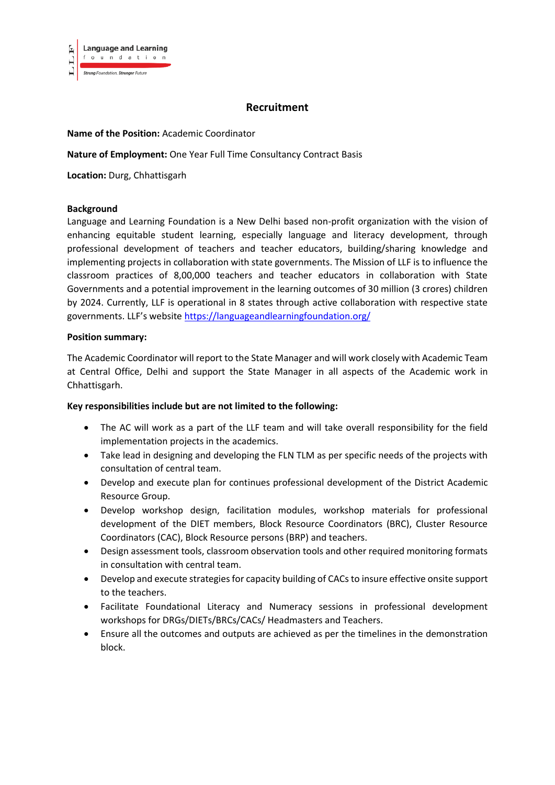

# **Recruitment**

## **Name of the Position:** Academic Coordinator

**Nature of Employment:** One Year Full Time Consultancy Contract Basis

**Location:** Durg, Chhattisgarh

#### **Background**

Language and Learning Foundation is a New Delhi based non-profit organization with the vision of enhancing equitable student learning, especially language and literacy development, through professional development of teachers and teacher educators, building/sharing knowledge and implementing projects in collaboration with state governments. The Mission of LLF is to influence the classroom practices of 8,00,000 teachers and teacher educators in collaboration with State Governments and a potential improvement in the learning outcomes of 30 million (3 crores) children by 2024. Currently, LLF is operational in 8 states through active collaboration with respective state governments. LLF's website <https://languageandlearningfoundation.org/>

#### **Position summary:**

The Academic Coordinator will report to the State Manager and will work closely with Academic Team at Central Office, Delhi and support the State Manager in all aspects of the Academic work in Chhattisgarh.

#### **Key responsibilities include but are not limited to the following:**

- The AC will work as a part of the LLF team and will take overall responsibility for the field implementation projects in the academics.
- Take lead in designing and developing the FLN TLM as per specific needs of the projects with consultation of central team.
- Develop and execute plan for continues professional development of the District Academic Resource Group.
- Develop workshop design, facilitation modules, workshop materials for professional development of the DIET members, Block Resource Coordinators (BRC), Cluster Resource Coordinators (CAC), Block Resource persons (BRP) and teachers.
- Design assessment tools, classroom observation tools and other required monitoring formats in consultation with central team.
- Develop and execute strategies for capacity building of CACs to insure effective onsite support to the teachers.
- Facilitate Foundational Literacy and Numeracy sessions in professional development workshops for DRGs/DIETs/BRCs/CACs/ Headmasters and Teachers.
- Ensure all the outcomes and outputs are achieved as per the timelines in the demonstration block.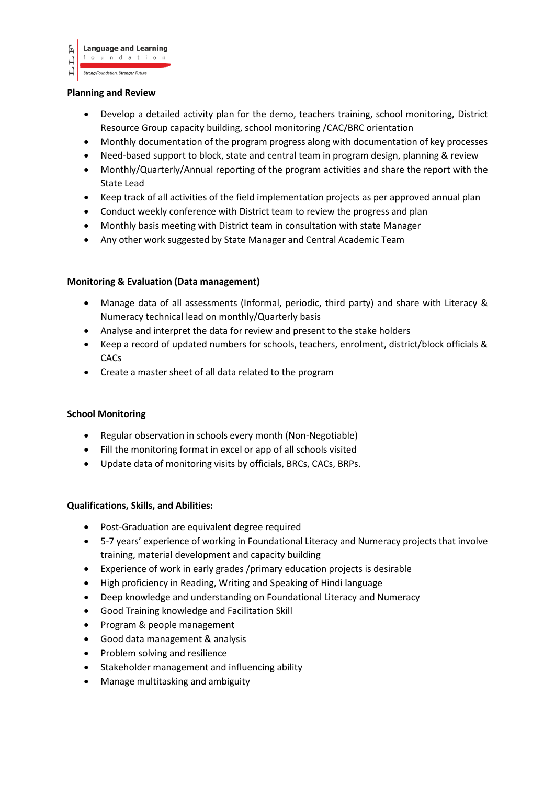

#### **Planning and Review**

- Develop a detailed activity plan for the demo, teachers training, school monitoring, District Resource Group capacity building, school monitoring /CAC/BRC orientation
- Monthly documentation of the program progress along with documentation of key processes
- Need-based support to block, state and central team in program design, planning & review
- Monthly/Quarterly/Annual reporting of the program activities and share the report with the State Lead
- Keep track of all activities of the field implementation projects as per approved annual plan
- Conduct weekly conference with District team to review the progress and plan
- Monthly basis meeting with District team in consultation with state Manager
- Any other work suggested by State Manager and Central Academic Team

## **Monitoring & Evaluation (Data management)**

- Manage data of all assessments (Informal, periodic, third party) and share with Literacy & Numeracy technical lead on monthly/Quarterly basis
- Analyse and interpret the data for review and present to the stake holders
- Keep a record of updated numbers for schools, teachers, enrolment, district/block officials & CACs
- Create a master sheet of all data related to the program

## **School Monitoring**

- Regular observation in schools every month (Non-Negotiable)
- Fill the monitoring format in excel or app of all schools visited
- Update data of monitoring visits by officials, BRCs, CACs, BRPs.

## **Qualifications, Skills, and Abilities:**

- Post-Graduation are equivalent degree required
- 5-7 years' experience of working in Foundational Literacy and Numeracy projects that involve training, material development and capacity building
- Experience of work in early grades /primary education projects is desirable
- High proficiency in Reading, Writing and Speaking of Hindi language
- Deep knowledge and understanding on Foundational Literacy and Numeracy
- Good Training knowledge and Facilitation Skill
- Program & people management
- Good data management & analysis
- Problem solving and resilience
- Stakeholder management and influencing ability
- Manage multitasking and ambiguity